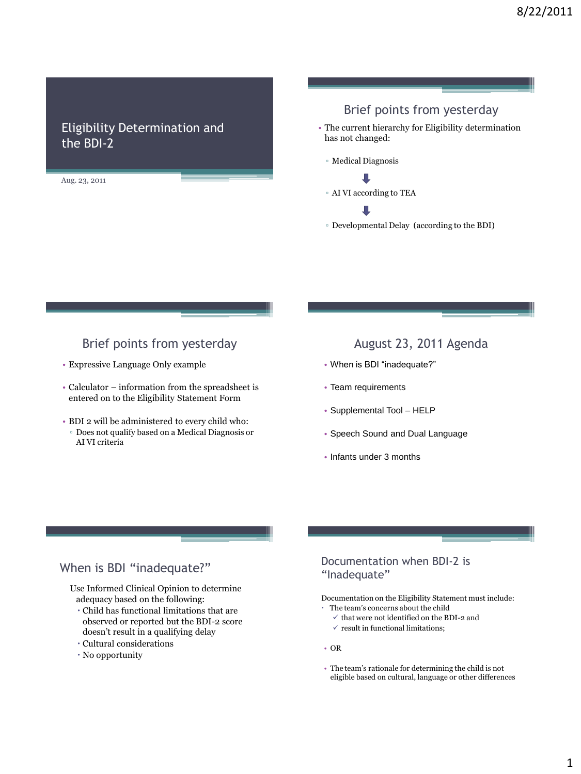# Eligibility Determination and the BDI-2

Aug. 23, 2011

# Brief points from yesterday

- The current hierarchy for Eligibility determination has not changed:
	- Medical Diagnosis

▫ AI VI according to TEA

▫ Developmental Delay (according to the BDI)

# Brief points from yesterday

- Expressive Language Only example
- Calculator information from the spreadsheet is entered on to the Eligibility Statement Form
- BDI 2 will be administered to every child who: ▫ Does not qualify based on a Medical Diagnosis or AI VI criteria

## August 23, 2011 Agenda

- When is BDI "inadequate?"
- Team requirements
- Supplemental Tool HELP
- Speech Sound and Dual Language
- Infants under 3 months

# When is BDI "inadequate?"

Use Informed Clinical Opinion to determine adequacy based on the following:

- Child has functional limitations that are observed or reported but the BDI-2 score doesn't result in a qualifying delay
- Cultural considerations
- No opportunity

#### Documentation when BDI-2 is "Inadequate"

Documentation on the Eligibility Statement must include:

- The team's concerns about the child
	- $\checkmark$  that were not identified on the BDI-2 and
	- $\checkmark$  result in functional limitations:
- OR
- The team's rationale for determining the child is not eligible based on cultural, language or other differences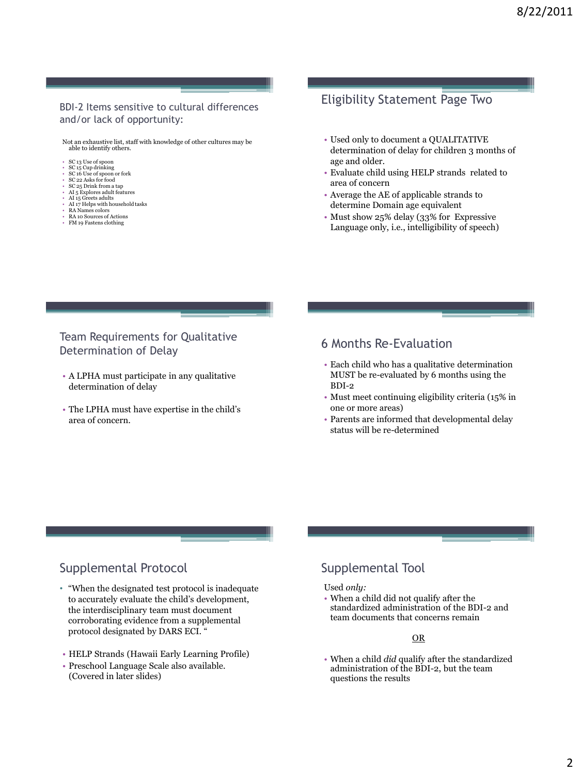#### BDI-2 Items sensitive to cultural differences and/or lack of opportunity:

Not an exhaustive list, staff with knowledge of other cultures may be able to identify others.

#### • SC 13 Use of spoon • SC 15 Cup drinking

- SC 16 Use of spoon or fork
- SC 22 Asks for food SC 25 Drink from a tap
- 
- AI 5 Explores adult features AI 15 Greets adults
- 
- AI 17 Helps with household tasks RA Names colors
- RA 10 Sources of Actions FM 19 Fastens clothing

# Eligibility Statement Page Two

- Used only to document a QUALITATIVE determination of delay for children 3 months of age and older.
- Evaluate child using HELP strands related to area of concern
- Average the AE of applicable strands to determine Domain age equivalent
- Must show 25% delay (33% for Expressive Language only, i.e., intelligibility of speech)

Team Requirements for Qualitative Determination of Delay

- A LPHA must participate in any qualitative determination of delay
- The LPHA must have expertise in the child's area of concern.

## 6 Months Re-Evaluation

- Each child who has a qualitative determination MUST be re-evaluated by 6 months using the BDI-2
- Must meet continuing eligibility criteria (15% in one or more areas)
- Parents are informed that developmental delay status will be re-determined

# Supplemental Protocol

- "When the designated test protocol is inadequate to accurately evaluate the child's development, the interdisciplinary team must document corroborating evidence from a supplemental protocol designated by DARS ECI. "
- HELP Strands (Hawaii Early Learning Profile)
- Preschool Language Scale also available. (Covered in later slides)

# Supplemental Tool

#### Used *only:*

• When a child did not qualify after the standardized administration of the BDI-2 and team documents that concerns remain

#### OR

• When a child *did* qualify after the standardized administration of the BDI-2, but the team questions the results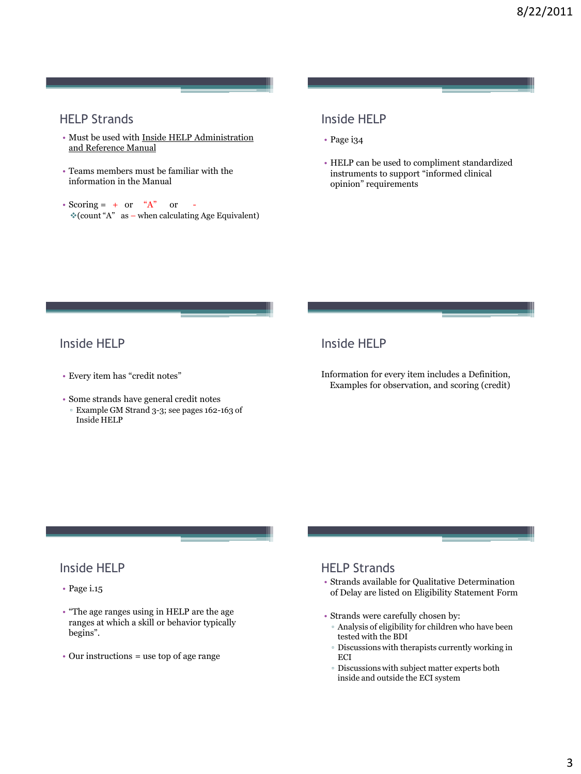# HELP Strands

- Must be used with Inside HELP Administration and Reference Manual
- Teams members must be familiar with the information in the Manual
- Scoring =  $+$  or  $A^*$  or  $\text{\textdegree}(count \text{ A}^*)$  as – when calculating Age Equivalent)

### Inside HELP

- Page i34
- HELP can be used to compliment standardized instruments to support "informed clinical opinion" requirements

# Inside HELP

- Every item has "credit notes"
- Some strands have general credit notes ▫ Example GM Strand 3-3; see pages 162-163 of
- Inside HELP

# Inside HELP

Information for every item includes a Definition, Examples for observation, and scoring (credit)

# Inside HELP

- Page i.15
- "The age ranges using in HELP are the age ranges at which a skill or behavior typically begins".
- Our instructions = use top of age range

# HELP Strands

- Strands available for Qualitative Determination of Delay are listed on Eligibility Statement Form
- Strands were carefully chosen by:
- Analysis of eligibility for children who have been tested with the BDI
- Discussions with therapists currently working in ECI
- Discussions with subject matter experts both inside and outside the ECI system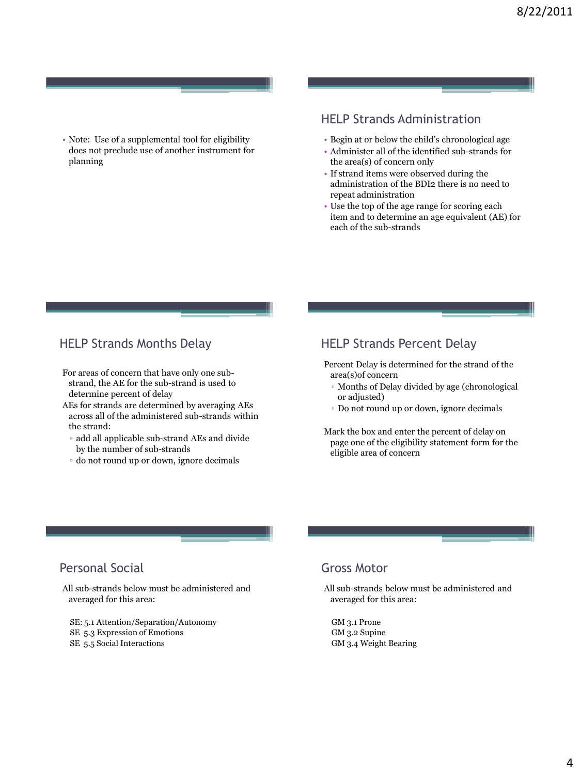• Note: Use of a supplemental tool for eligibility does not preclude use of another instrument for planning

# HELP Strands Administration

- Begin at or below the child's chronological age
- Administer all of the identified sub-strands for the area(s) of concern only
- If strand items were observed during the administration of the BDI2 there is no need to repeat administration
- Use the top of the age range for scoring each item and to determine an age equivalent (AE) for each of the sub-strands

## HELP Strands Months Delay

- For areas of concern that have only one substrand, the AE for the sub-strand is used to determine percent of delay
- AEs for strands are determined by averaging AEs across all of the administered sub-strands within the strand:
	- add all applicable sub-strand AEs and divide by the number of sub-strands
	- do not round up or down, ignore decimals

# HELP Strands Percent Delay

Percent Delay is determined for the strand of the area(s)of concern

- Months of Delay divided by age (chronological or adjusted)
- Do not round up or down, ignore decimals

Mark the box and enter the percent of delay on page one of the eligibility statement form for the eligible area of concern

# Personal Social

All sub-strands below must be administered and averaged for this area:

- SE: 5.1 Attention/Separation/Autonomy
- SE 5.3 Expression of Emotions
- SE 5.5 Social Interactions

## Gross Motor

All sub-strands below must be administered and averaged for this area:

GM 3.1 Prone GM 3.2 Supine GM 3.4 Weight Bearing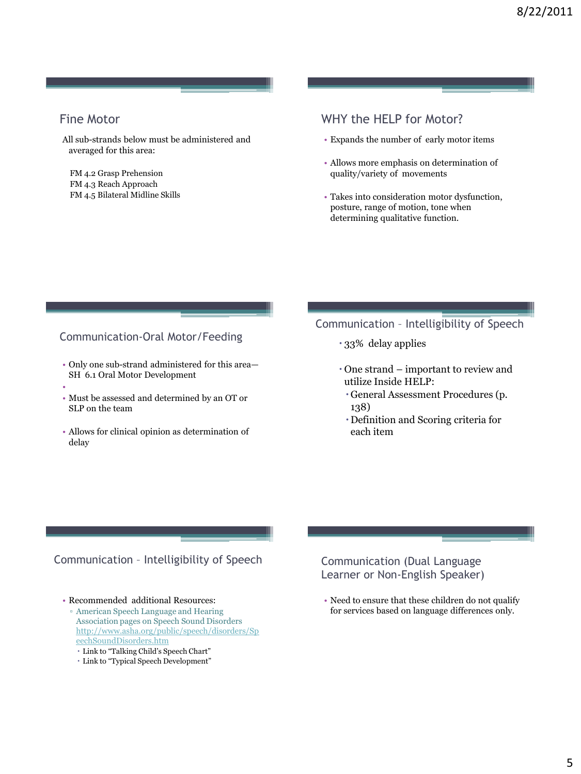# Fine Motor

All sub-strands below must be administered and averaged for this area:

FM 4.2 Grasp Prehension FM 4.3 Reach Approach FM 4.5 Bilateral Midline Skills

# WHY the HFI P for Motor?

- Expands the number of early motor items
- Allows more emphasis on determination of quality/variety of movements
- Takes into consideration motor dysfunction, posture, range of motion, tone when determining qualitative function.

#### Communication-Oral Motor/Feeding

- Only one sub-strand administered for this area— SH 6.1 Oral Motor Development
- •
- Must be assessed and determined by an OT or SLP on the team
- Allows for clinical opinion as determination of delay

# Communication – Intelligibility of Speech

- 33% delay applies
- One strand important to review and utilize Inside HELP:
	- General Assessment Procedures (p. 138)
	- Definition and Scoring criteria for each item

#### Communication – Intelligibility of Speech

• Recommended additional Resources:

- American Speech Language and Hearing Association pages on Speech Sound Disorders [http://www.asha.org/public/speech/disorders/Sp](http://www.asha.org/public/speech/disorders/SpeechSoundDisorders.htm) [eechSoundDisorders.htm](http://www.asha.org/public/speech/disorders/SpeechSoundDisorders.htm)
	- Link to "Talking Child's Speech Chart"
	- Link to "Typical Speech Development"

#### Communication (Dual Language Learner or Non-English Speaker)

• Need to ensure that these children do not qualify for services based on language differences only.